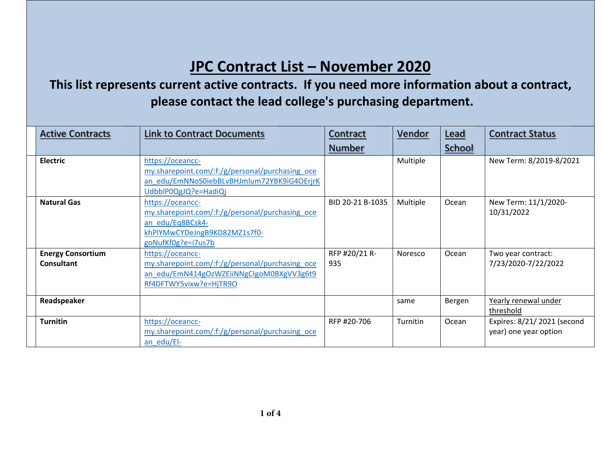## **JPC Contract List – November 2020**

## **This list represents current active contracts. If you need more information about <sup>a</sup> contract, please contact the lead college's purchasing department.**

| <b>Active Contracts</b>                | <b>Link to Contract Documents</b>                                                                                                             | Contract             | Vendor          | Lead          | <b>Contract Status</b>                               |
|----------------------------------------|-----------------------------------------------------------------------------------------------------------------------------------------------|----------------------|-----------------|---------------|------------------------------------------------------|
|                                        |                                                                                                                                               | <b>Number</b>        |                 | <b>School</b> |                                                      |
| <b>Electric</b>                        | https://oceancc-<br>my.sharepoint.com/:f:/g/personal/purchasing oce<br>an edu/EmNNoS0iebBLvBHJmlum72YBK9iG4OErjrK<br>UdbblP0QgJQ?e=HadiQj     |                      | Multiple        |               | New Term: 8/2019-8/2021                              |
| <b>Natural Gas</b>                     | https://oceancc-<br>my.sharepoint.com/:f:/g/personal/purchasing oce<br>an edu/Eq8BCsk4-<br>khPlYMwCYDeJngB9KD82MZ1s7f0-<br>goNufKf0g?e=i7us7b | BID 20-21 B-1035     | Multiple        | Ocean         | New Term: 11/1/2020-<br>10/31/2022                   |
| <b>Energy Consortium</b><br>Consultant | https://oceancc-<br>my.sharepoint.com/:f:/g/personal/purchasing_oce<br>an edu/EmN414gOzWZEiiNNgClgoM0BXgVV3g6t9<br>Rf4DFTWY5vixw?e=HjTR9O     | RFP #20/21 R-<br>935 | Noresco         | Ocean         | Two year contract:<br>7/23/2020-7/22/2022            |
| Readspeaker                            |                                                                                                                                               |                      | same            | Bergen        | Yearly renewal under<br>threshold                    |
| <b>Turnitin</b>                        | https://oceancc-<br>my.sharepoint.com/:f:/g/personal/purchasing oce<br>an edu/El-                                                             | RFP #20-706          | <b>Turnitin</b> | Ocean         | Expires: 8/21/ 2021 (second<br>year) one year option |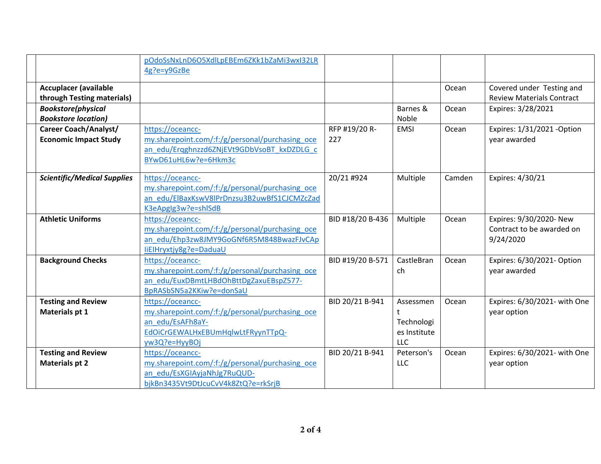|                                    | pOdoSsNxLnD6O5XdlLpEBEm6ZKk1bZaMi3wxl32LR       |                  |              |        |                                  |
|------------------------------------|-------------------------------------------------|------------------|--------------|--------|----------------------------------|
|                                    | 4g?e=y9GzBe                                     |                  |              |        |                                  |
|                                    |                                                 |                  |              |        |                                  |
| <b>Accuplacer (available</b>       |                                                 |                  |              | Ocean  | Covered under Testing and        |
| through Testing materials)         |                                                 |                  |              |        | <b>Review Materials Contract</b> |
| <b>Bookstore(physical</b>          |                                                 |                  | Barnes &     | Ocean  | Expires: 3/28/2021               |
| <b>Bookstore location)</b>         |                                                 |                  | Noble        |        |                                  |
| Career Coach/Analyst/              | https://oceancc-                                | RFP #19/20 R-    | <b>EMSI</b>  | Ocean  | Expires: 1/31/2021 - Option      |
| <b>Economic Impact Study</b>       | my.sharepoint.com/:f:/g/personal/purchasing oce | 227              |              |        | year awarded                     |
|                                    | an edu/Ergghnzzd6ZNjEVt9GDbVsoBT kxDZDLG c      |                  |              |        |                                  |
|                                    | BYwD61uHL6w?e=6Hkm3c                            |                  |              |        |                                  |
|                                    |                                                 |                  |              |        |                                  |
| <b>Scientific/Medical Supplies</b> | https://oceancc-                                | 20/21 #924       | Multiple     | Camden | Expires: 4/30/21                 |
|                                    | my.sharepoint.com/:f:/g/personal/purchasing_oce |                  |              |        |                                  |
|                                    | an edu/ElBaxKswV8lPrDnzsu3B2uwBfS1CJCMZcZad     |                  |              |        |                                  |
|                                    | K3eApglg3w?e=shlSdB                             |                  |              |        |                                  |
| <b>Athletic Uniforms</b>           | https://oceancc-                                | BID #18/20 B-436 | Multiple     | Ocean  | Expires: 9/30/2020- New          |
|                                    | my.sharepoint.com/:f:/g/personal/purchasing oce |                  |              |        | Contract to be awarded on        |
|                                    | an_edu/Ehp3zw8JMY9GoGNf6R5M848BwazFJvCAp        |                  |              |        | 9/24/2020                        |
|                                    | liElHryxtjy8g?e=DaduaU                          |                  |              |        |                                  |
| <b>Background Checks</b>           | https://oceancc-                                | BID #19/20 B-571 | CastleBran   | Ocean  | Expires: 6/30/2021- Option       |
|                                    | my.sharepoint.com/:f:/g/personal/purchasing oce |                  | ch           |        | year awarded                     |
|                                    | an edu/EuxDBmtLHBdOhBttDgZaxuEBspZ577-          |                  |              |        |                                  |
|                                    | BpRASbSN5a2KKiw?e=donSaU                        |                  |              |        |                                  |
| <b>Testing and Review</b>          | https://oceancc-                                | BID 20/21 B-941  | Assessmen    | Ocean  | Expires: 6/30/2021- with One     |
| Materials pt 1                     | my.sharepoint.com/:f:/g/personal/purchasing_oce |                  | t            |        | year option                      |
|                                    | an edu/EsAFh8aY-                                |                  | Technologi   |        |                                  |
|                                    | EdOiCrGEWALHxEBUmHqlwLtFRyynTTpQ-               |                  | es Institute |        |                                  |
|                                    | yw3Q?e=HyyBOj                                   |                  | LLC          |        |                                  |
| <b>Testing and Review</b>          | https://oceancc-                                | BID 20/21 B-941  | Peterson's   | Ocean  | Expires: 6/30/2021- with One     |
| <b>Materials pt 2</b>              | my.sharepoint.com/:f:/g/personal/purchasing oce |                  | <b>LLC</b>   |        | year option                      |
|                                    | an_edu/EsXGIAyjaNhJg7RuQUD-                     |                  |              |        |                                  |
|                                    | bjkBn3435Vt9DtJcuCvV4k8ZtQ?e=rkSrjB             |                  |              |        |                                  |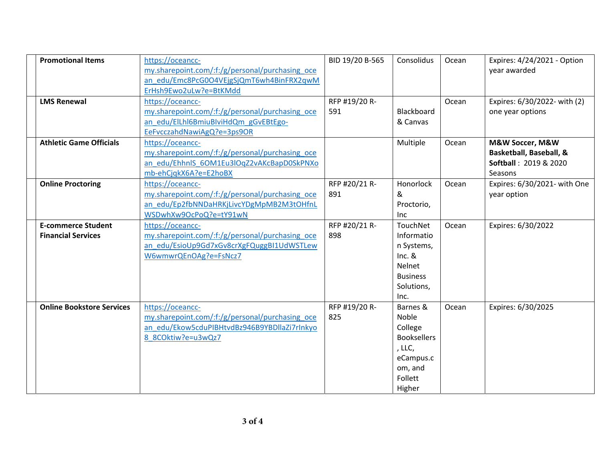| <b>Promotional Items</b>         | https://oceancc-                                | BID 19/20 B-565 | Consolidus         | Ocean | Expires: 4/24/2021 - Option      |
|----------------------------------|-------------------------------------------------|-----------------|--------------------|-------|----------------------------------|
|                                  | my.sharepoint.com/:f:/g/personal/purchasing oce |                 |                    |       | year awarded                     |
|                                  | an edu/Emc8PcG0O4VEjgSjQmT6wh4BinFRX2qwM        |                 |                    |       |                                  |
|                                  | ErHsh9Ewo2uLw?e=BtKMdd                          |                 |                    |       |                                  |
| <b>LMS Renewal</b>               | https://oceancc-                                | RFP #19/20 R-   |                    | Ocean | Expires: 6/30/2022- with (2)     |
|                                  | my.sharepoint.com/:f:/g/personal/purchasing_oce | 591             | Blackboard         |       | one year options                 |
|                                  | an edu/ElLhl6BmiuBlviHdQm gGvEBtEgo-            |                 | & Canvas           |       |                                  |
|                                  | EeFvcczahdNawiAgQ?e=3ps9OR                      |                 |                    |       |                                  |
| <b>Athletic Game Officials</b>   | https://oceancc-                                |                 | Multiple           | Ocean | M&W Soccer, M&W                  |
|                                  | my.sharepoint.com/:f:/g/personal/purchasing oce |                 |                    |       | Basketball, Baseball, &          |
|                                  | an edu/EhhnlS 6OM1Eu3lOqZ2vAKcBapD0SkPNXo       |                 |                    |       | <b>Softball: 2019 &amp; 2020</b> |
|                                  | mb-ehCjqkX6A?e=E2hoBX                           |                 |                    |       | Seasons                          |
| <b>Online Proctoring</b>         | https://oceancc-                                | RFP #20/21 R-   | Honorlock          | Ocean | Expires: 6/30/2021- with One     |
|                                  | my.sharepoint.com/:f:/g/personal/purchasing oce | 891             | &                  |       | year option                      |
|                                  | an edu/Ep2fbNNDaHRKjLivcYDgMpMB2M3tOHfnL        |                 | Proctorio,         |       |                                  |
|                                  | WSDwhXw9OcPoQ?e=tY91wN                          |                 | Inc.               |       |                                  |
| <b>E-commerce Student</b>        | https://oceancc-                                | RFP #20/21 R-   | TouchNet           | Ocean | Expires: 6/30/2022               |
| <b>Financial Services</b>        | my.sharepoint.com/:f:/g/personal/purchasing_oce | 898             | Informatio         |       |                                  |
|                                  | an edu/EsioUp9Gd7xGv8crXgFQuggBI1UdWSTLew       |                 | n Systems,         |       |                                  |
|                                  | W6wmwrQEnOAg?e=FsNcz7                           |                 | $Inc.$ &           |       |                                  |
|                                  |                                                 |                 | Nelnet             |       |                                  |
|                                  |                                                 |                 | <b>Business</b>    |       |                                  |
|                                  |                                                 |                 | Solutions,         |       |                                  |
|                                  |                                                 |                 | Inc.               |       |                                  |
| <b>Online Bookstore Services</b> | https://oceancc-                                | RFP #19/20 R-   | Barnes &           | Ocean | Expires: 6/30/2025               |
|                                  |                                                 | 825             | Noble              |       |                                  |
|                                  | my.sharepoint.com/:f:/g/personal/purchasing oce |                 |                    |       |                                  |
|                                  | an edu/Ekow5cduPIBHtvdBz946B9YBDllaZi7rInkyo    |                 | College            |       |                                  |
|                                  | 8 8COktiw?e=u3wQz7                              |                 | <b>Booksellers</b> |       |                                  |
|                                  |                                                 |                 | , LLC,             |       |                                  |
|                                  |                                                 |                 | eCampus.c          |       |                                  |
|                                  |                                                 |                 | om, and            |       |                                  |
|                                  |                                                 |                 | Follett            |       |                                  |
|                                  |                                                 |                 | Higher             |       |                                  |